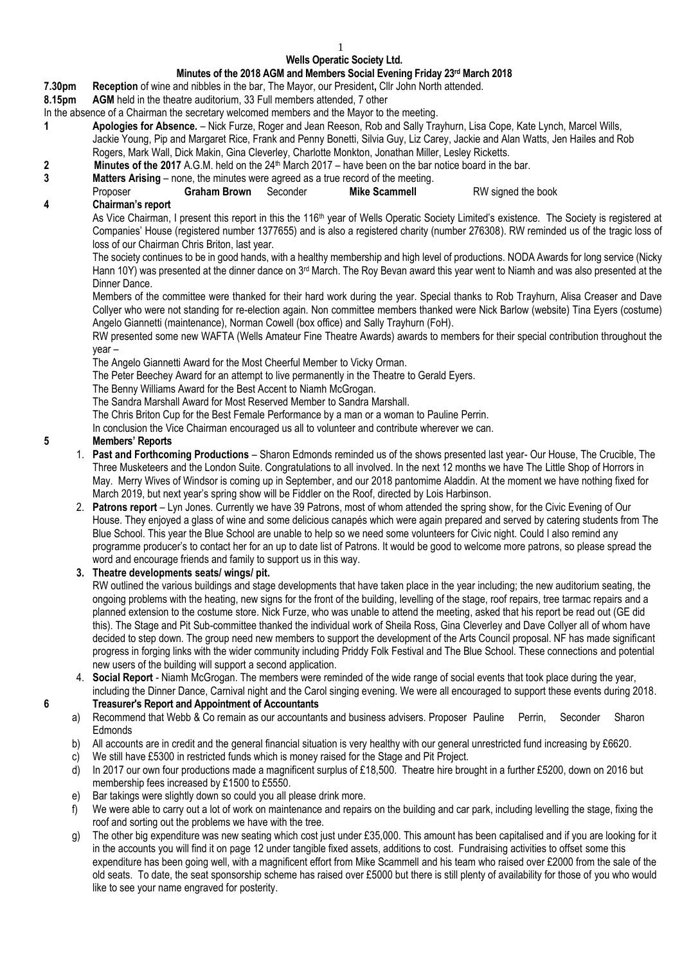# **Wells Operatic Society Ltd.**

### **Minutes of the 2018 AGM and Members Social Evening Friday 23 rd March 2018**

**7.30pm Reception** of wine and nibbles in the bar, The Mayor, our President**,** Cllr John North attended.

**8.15pm AGM** held in the theatre auditorium, 33 Full members attended, 7 other

- In the absence of a Chairman the secretary welcomed members and the Mayor to the meeting.
- **1 Apologies for Absence.**  Nick Furze, Roger and Jean Reeson, Rob and Sally Trayhurn, Lisa Cope, Kate Lynch, Marcel Wills, Jackie Young, Pip and Margaret Rice, Frank and Penny Bonetti, Silvia Guy, Liz Carey, Jackie and Alan Watts, Jen Hailes and Rob Rogers, Mark Wall, Dick Makin, Gina Cleverley, Charlotte Monkton, Jonathan Miller, Lesley Ricketts.
- **2 Minutes of the 2017** A.G.M. held on the 24<sup>th</sup> March 2017 have been on the bar notice board in the bar.

# **3 Matters Arising** – none, the minutes were agreed as a true record of the meeting.

Proposer **Graham Brown** Seconder **Mike Scammell** RW signed the book

# **4 Chairman's report**

As Vice Chairman, I present this report in this the 116<sup>th</sup> year of Wells Operatic Society Limited's existence. The Society is registered at Companies' House (registered number 1377655) and is also a registered charity (number 276308). RW reminded us of the tragic loss of loss of our Chairman Chris Briton, last year.

The society continues to be in good hands, with a healthy membership and high level of productions. NODA Awards for long service (Nicky Hann 10Y) was presented at the dinner dance on 3rd March. The Roy Bevan award this year went to Niamh and was also presented at the Dinner Dance.

Members of the committee were thanked for their hard work during the year. Special thanks to Rob Trayhurn, Alisa Creaser and Dave Collyer who were not standing for re-election again. Non committee members thanked were Nick Barlow (website) Tina Eyers (costume) Angelo Giannetti (maintenance), Norman Cowell (box office) and Sally Trayhurn (FoH).

RW presented some new WAFTA (Wells Amateur Fine Theatre Awards) awards to members for their special contribution throughout the year –

The Angelo Giannetti Award for the Most Cheerful Member to Vicky Orman.

The Peter Beechey Award for an attempt to live permanently in the Theatre to Gerald Eyers.

The Benny Williams Award for the Best Accent to Niamh McGrogan.

The Sandra Marshall Award for Most Reserved Member to Sandra Marshall.

The Chris Briton Cup for the Best Female Performance by a man or a woman to Pauline Perrin.

In conclusion the Vice Chairman encouraged us all to volunteer and contribute wherever we can.

## **5 Members' Reports**

- 1. **Past and Forthcoming Productions** Sharon Edmonds reminded us of the shows presented last year- Our House, The Crucible, The Three Musketeers and the London Suite. Congratulations to all involved. In the next 12 months we have The Little Shop of Horrors in May. Merry Wives of Windsor is coming up in September, and our 2018 pantomime Aladdin. At the moment we have nothing fixed for March 2019, but next year's spring show will be Fiddler on the Roof, directed by Lois Harbinson.
- 2. **Patrons report** Lyn Jones. Currently we have 39 Patrons, most of whom attended the spring show, for the Civic Evening of Our House. They enjoyed a glass of wine and some delicious canapés which were again prepared and served by catering students from The Blue School. This year the Blue School are unable to help so we need some volunteers for Civic night. Could I also remind any programme producer's to contact her for an up to date list of Patrons. It would be good to welcome more patrons, so please spread the word and encourage friends and family to support us in this way.

## **3. Theatre developments seats/ wings/ pit.**

RW outlined the various buildings and stage developments that have taken place in the year including; the new auditorium seating, the ongoing problems with the heating, new signs for the front of the building, levelling of the stage, roof repairs, tree tarmac repairs and a planned extension to the costume store. Nick Furze, who was unable to attend the meeting, asked that his report be read out (GE did this). The Stage and Pit Sub-committee thanked the individual work of Sheila Ross, Gina Cleverley and Dave Collyer all of whom have decided to step down. The group need new members to support the development of the Arts Council proposal. NF has made significant progress in forging links with the wider community including Priddy Folk Festival and The Blue School. These connections and potential new users of the building will support a second application.

- 4. **Social Report** Niamh McGrogan. The members were reminded of the wide range of social events that took place during the year, including the Dinner Dance, Carnival night and the Carol singing evening. We were all encouraged to support these events during 2018. **6 Treasurer's Report and Appointment of Accountants**
	- a) Recommend that Webb & Co remain as our accountants and business advisers. Proposer Pauline Perrin, Seconder Sharon Edmonds
	- b) All accounts are in credit and the general financial situation is very healthy with our general unrestricted fund increasing by £6620.
	- c) We still have £5300 in restricted funds which is money raised for the Stage and Pit Project.
	- d) In 2017 our own four productions made a magnificent surplus of £18,500. Theatre hire brought in a further £5200, down on 2016 but membership fees increased by £1500 to £5550.
	- e) Bar takings were slightly down so could you all please drink more.
	- f) We were able to carry out a lot of work on maintenance and repairs on the building and car park, including levelling the stage, fixing the roof and sorting out the problems we have with the tree.
	- g) The other big expenditure was new seating which cost just under £35,000. This amount has been capitalised and if you are looking for it in the accounts you will find it on page 12 under tangible fixed assets, additions to cost. Fundraising activities to offset some this expenditure has been going well, with a magnificent effort from Mike Scammell and his team who raised over £2000 from the sale of the old seats. To date, the seat sponsorship scheme has raised over £5000 but there is still plenty of availability for those of you who would like to see your name engraved for posterity.